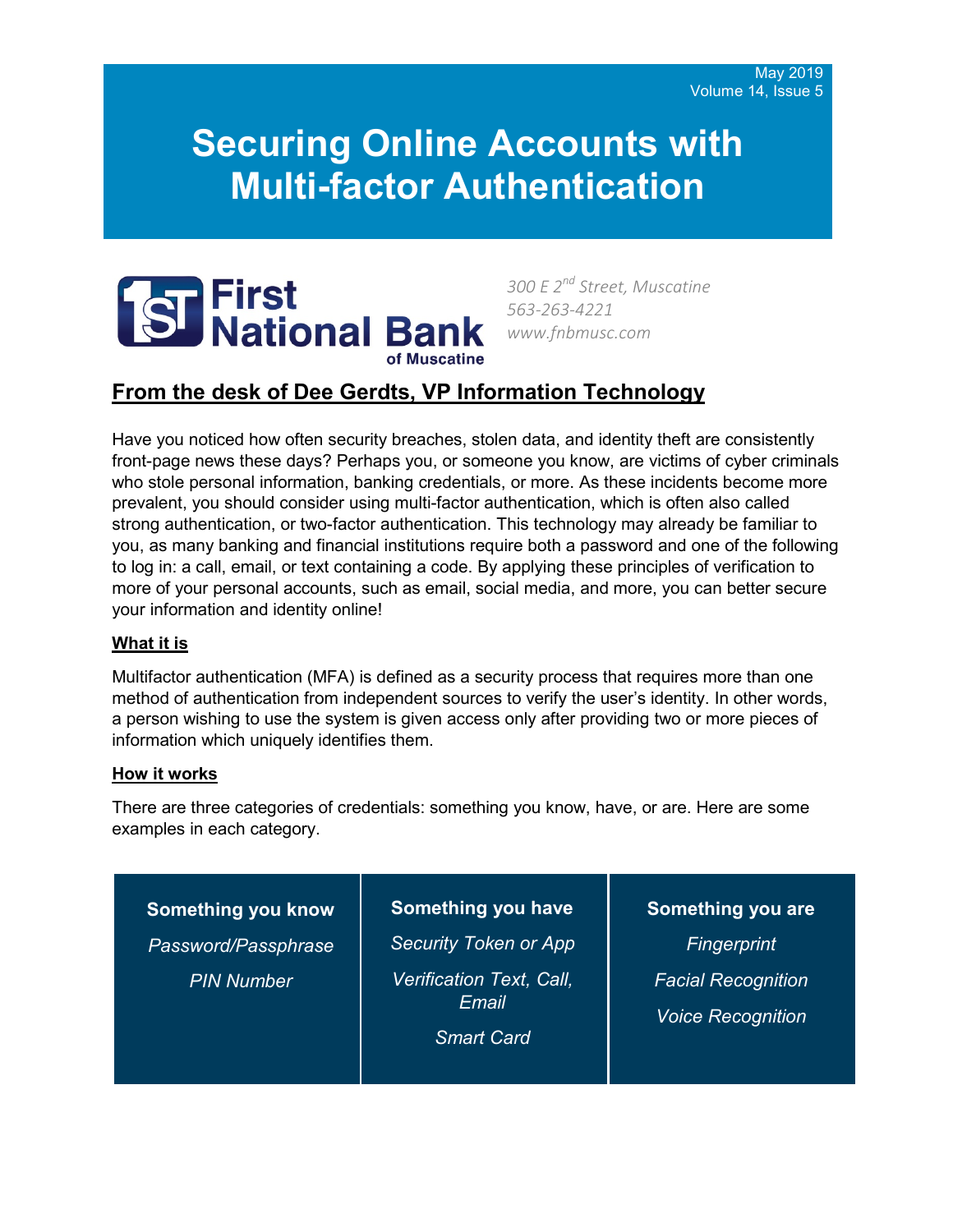# **Securing Online Accounts with Multi-factor Authentication**



*300 E 2nd Street, Muscatine 563-263-4221 www.fnbmusc.com*

## **From the desk of Dee Gerdts, VP Information Technology**

Have you noticed how often security breaches, stolen data, and identity theft are consistently front-page news these days? Perhaps you, or someone you know, are victims of cyber criminals who stole personal information, banking credentials, or more. As these incidents become more prevalent, you should consider using multi-factor authentication, which is often also called strong authentication, or two-factor authentication. This technology may already be familiar to you, as many banking and financial institutions require both a password and one of the following to log in: a call, email, or text containing a code. By applying these principles of verification to more of your personal accounts, such as email, social media, and more, you can better secure your information and identity online!

#### **What it is**

Multifactor authentication (MFA) is defined as a security process that requires more than one method of authentication from independent sources to verify the user's identity. In other words, a person wishing to use the system is given access only after providing two or more pieces of information which uniquely identifies them.

#### **How it works**

There are three categories of credentials: something you know, have, or are. Here are some examples in each category.

**Something you know** *Password/Passphrase PIN Number*

**Something you have** *Security Token or App Verification Text, Call, Email Smart Card*

**Something you are** *Fingerprint Facial Recognition Voice Recognition*